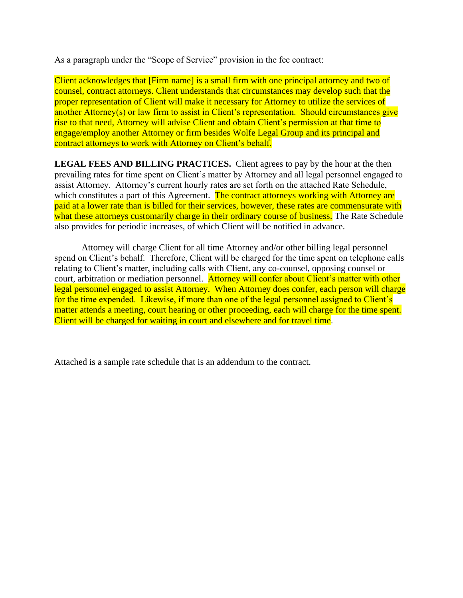As a paragraph under the "Scope of Service" provision in the fee contract:

Client acknowledges that [Firm name] is a small firm with one principal attorney and two of counsel, contract attorneys. Client understands that circumstances may develop such that the proper representation of Client will make it necessary for Attorney to utilize the services of another Attorney(s) or law firm to assist in Client's representation. Should circumstances give rise to that need, Attorney will advise Client and obtain Client's permission at that time to engage/employ another Attorney or firm besides Wolfe Legal Group and its principal and contract attorneys to work with Attorney on Client's behalf.

**LEGAL FEES AND BILLING PRACTICES.** Client agrees to pay by the hour at the then prevailing rates for time spent on Client's matter by Attorney and all legal personnel engaged to assist Attorney. Attorney's current hourly rates are set forth on the attached Rate Schedule, which constitutes a part of this Agreement. The contract attorneys working with Attorney are paid at a lower rate than is billed for their services, however, these rates are commensurate with what these attorneys customarily charge in their ordinary course of business. The Rate Schedule also provides for periodic increases, of which Client will be notified in advance.

Attorney will charge Client for all time Attorney and/or other billing legal personnel spend on Client's behalf. Therefore, Client will be charged for the time spent on telephone calls relating to Client's matter, including calls with Client, any co-counsel, opposing counsel or court, arbitration or mediation personnel. Attorney will confer about Client's matter with other legal personnel engaged to assist Attorney. When Attorney does confer, each person will charge for the time expended. Likewise, if more than one of the legal personnel assigned to Client's matter attends a meeting, court hearing or other proceeding, each will charge for the time spent. Client will be charged for waiting in court and elsewhere and for travel time.

Attached is a sample rate schedule that is an addendum to the contract.